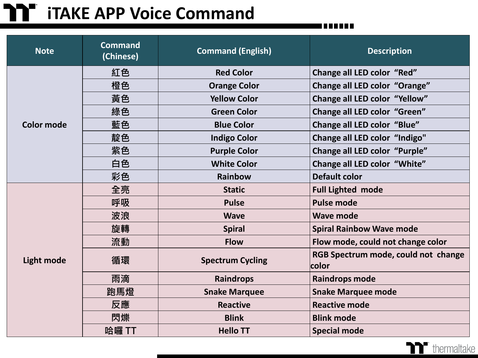## **iTAKE APP Voice Command**

| <b>Note</b>       | <b>Command</b><br>(Chinese) | <b>Command (English)</b>                             | <b>Description</b>                           |  |
|-------------------|-----------------------------|------------------------------------------------------|----------------------------------------------|--|
| <b>Color mode</b> | 紅色                          | <b>Red Color</b>                                     | Change all LED color "Red"                   |  |
|                   | 橙色                          | <b>Orange Color</b>                                  | Change all LED color "Orange"                |  |
|                   | 黃色                          | Change all LED color "Yellow"<br><b>Yellow Color</b> |                                              |  |
|                   | 綠色                          | Change all LED color "Green"<br><b>Green Color</b>   |                                              |  |
|                   | 藍色                          | <b>Blue Color</b>                                    | Change all LED color "Blue"                  |  |
|                   | 靛色                          | <b>Indigo Color</b>                                  | Change all LED color "Indigo"                |  |
|                   | 紫色                          | <b>Purple Color</b>                                  | <b>Change all LED color "Purple"</b>         |  |
|                   | 白色                          | <b>White Color</b>                                   | Change all LED color "White"                 |  |
|                   | 彩色                          | <b>Rainbow</b>                                       | <b>Default color</b>                         |  |
|                   | 全亮                          | <b>Static</b>                                        | <b>Full Lighted mode</b>                     |  |
|                   | 呼吸                          | <b>Pulse</b>                                         | <b>Pulse mode</b>                            |  |
|                   | 波浪                          | <b>Wave</b>                                          | <b>Wave mode</b>                             |  |
| <b>Light mode</b> | 旋轉                          | <b>Spiral</b>                                        | <b>Spiral Rainbow Wave mode</b>              |  |
|                   | 流動                          | <b>Flow</b>                                          | Flow mode, could not change color            |  |
|                   | 循環                          | <b>Spectrum Cycling</b>                              | RGB Spectrum mode, could not change<br>color |  |
|                   | 雨滴                          | <b>Raindrops</b>                                     | <b>Raindrops mode</b>                        |  |
|                   | 跑馬燈                         | <b>Snake Marquee</b>                                 | <b>Snake Marquee mode</b>                    |  |
|                   | 反應                          | <b>Reactive</b>                                      | <b>Reactive mode</b>                         |  |
|                   | 閃爍                          | <b>Blink</b>                                         | <b>Blink mode</b>                            |  |
|                   | 哈囉 TT                       | <b>Hello TT</b>                                      | <b>Special mode</b>                          |  |

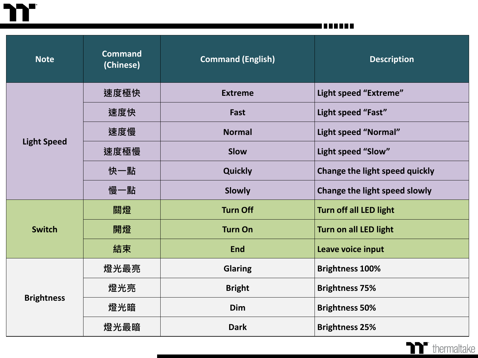m

T E E E E E

| <b>Note</b>        | <b>Command</b><br>(Chinese) | <b>Command (English)</b>              | <b>Description</b>             |  |
|--------------------|-----------------------------|---------------------------------------|--------------------------------|--|
| <b>Light Speed</b> | 速度極快                        | <b>Extreme</b>                        | Light speed "Extreme"          |  |
|                    | 速度快                         | Fast                                  | Light speed "Fast"             |  |
|                    | 速度慢                         | Light speed "Normal"<br><b>Normal</b> |                                |  |
|                    | 速度極慢                        | <b>Slow</b>                           | Light speed "Slow"             |  |
|                    | 快一點                         | <b>Quickly</b>                        | Change the light speed quickly |  |
|                    | 慢一點                         | <b>Slowly</b>                         | Change the light speed slowly  |  |
| <b>Switch</b>      | 關燈                          | <b>Turn Off</b>                       | <b>Turn off all LED light</b>  |  |
|                    | 開燈                          | <b>Turn On</b>                        | <b>Turn on all LED light</b>   |  |
|                    | 結束                          | <b>End</b>                            | Leave voice input              |  |
| <b>Brightness</b>  | 燈光最亮                        | <b>Glaring</b>                        | <b>Brightness 100%</b>         |  |
|                    | 燈光亮                         | <b>Bright</b>                         | <b>Brightness 75%</b>          |  |
|                    | 燈光暗                         | <b>Dim</b>                            | <b>Brightness 50%</b>          |  |
|                    | 燈光最暗                        | <b>Dark</b>                           | <b>Brightness 25%</b>          |  |